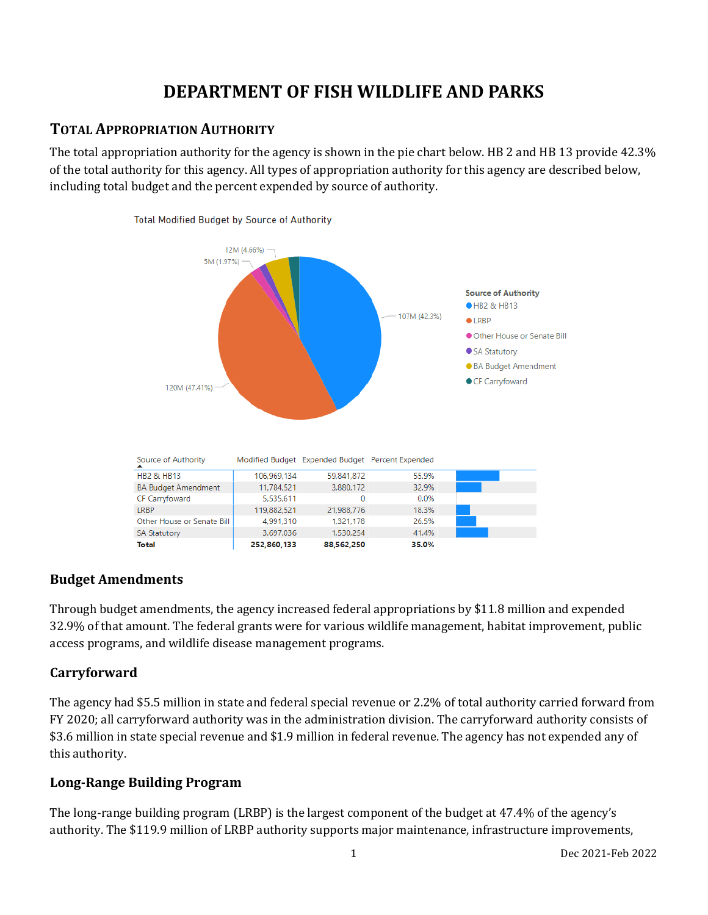# **DEPARTMENT OF FISH WILDLIFE AND PARKS**

## **TOTAL APPROPRIATION AUTHORITY**

The total appropriation authority for the agency is shown in the pie chart below. HB 2 and HB 13 provide 42.3% of the total authority for this agency. All types of appropriation authority for this agency are described below, including total budget and the percent expended by source of authority.



#### **Budget Amendments**

Through budget amendments, the agency increased federal appropriations by \$11.8 million and expended 32.9% of that amount. The federal grants were for various wildlife management, habitat improvement, public access programs, and wildlife disease management programs.

## **Carryforward**

The agency had \$5.5 million in state and federal special revenue or 2.2% of total authority carried forward from FY 2020; all carryforward authority was in the administration division. The carryforward authority consists of \$3.6 million in state special revenue and \$1.9 million in federal revenue. The agency has not expended any of this authority.

## **Long-Range Building Program**

The long-range building program (LRBP) is the largest component of the budget at 47.4% of the agency's authority. The \$119.9 million of LRBP authority supports major maintenance, infrastructure improvements,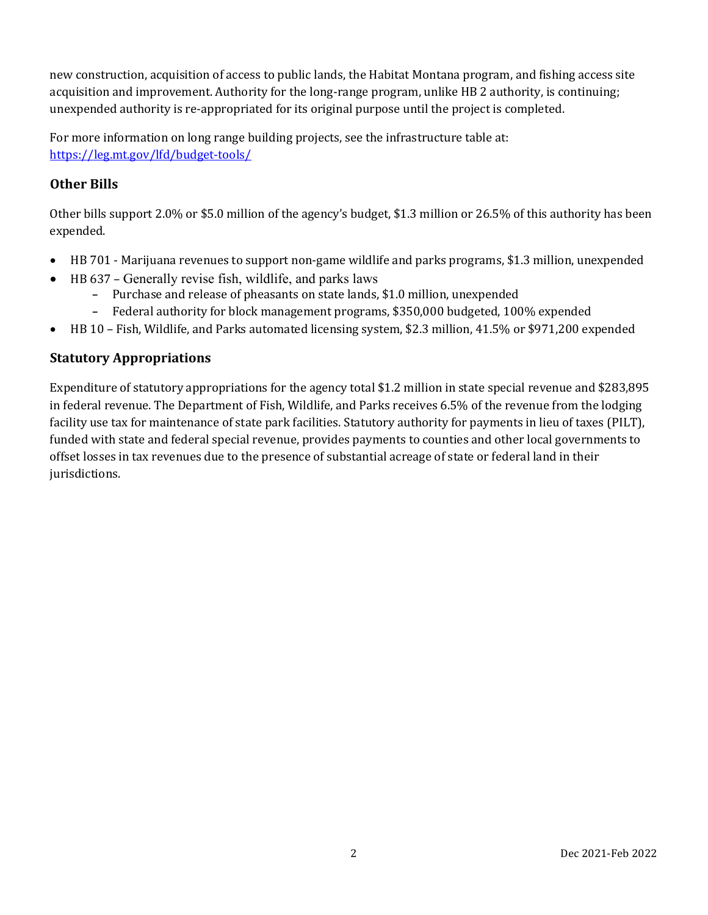new construction, acquisition of access to public lands, the Habitat Montana program, and fishing access site acquisition and improvement. Authority for the long-range program, unlike HB 2 authority, is continuing; unexpended authority is re-appropriated for its original purpose until the project is completed.

For more information on long range building projects, see the infrastructure table at: <https://leg.mt.gov/lfd/budget-tools/>

## **Other Bills**

Other bills support 2.0% or \$5.0 million of the agency's budget, \$1.3 million or 26.5% of this authority has been expended.

- HB 701 Marijuana revenues to support non-game wildlife and parks programs, \$1.3 million, unexpended
- HB 637 Generally revise fish, wildlife, and parks laws
	- **-** Purchase and release of pheasants on state lands, \$1.0 million, unexpended
	- **-** Federal authority for block management programs, \$350,000 budgeted, 100% expended
- HB 10 Fish, Wildlife, and Parks automated licensing system, \$2.3 million, 41.5% or \$971,200 expended

#### **Statutory Appropriations**

Expenditure of statutory appropriations for the agency total \$1.2 million in state special revenue and \$283,895 in federal revenue. The Department of Fish, Wildlife, and Parks receives 6.5% of the revenue from the lodging facility use tax for maintenance of state park facilities. Statutory authority for payments in lieu of taxes (PILT), funded with state and federal special revenue, provides payments to counties and other local governments to offset losses in tax revenues due to the presence of substantial acreage of state or federal land in their jurisdictions.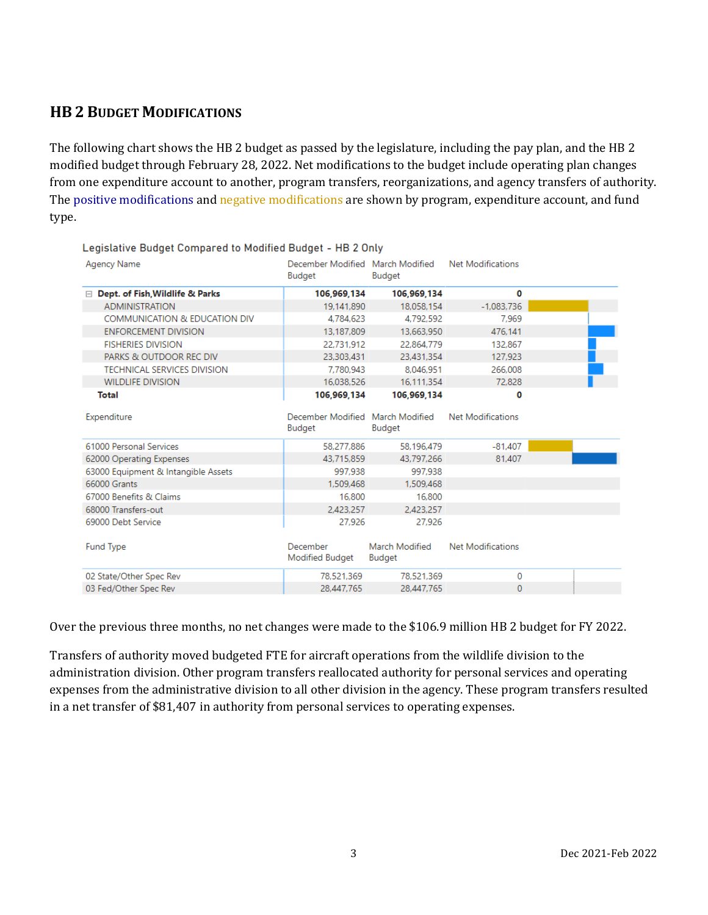## **HB 2 BUDGET MODIFICATIONS**

The following chart shows the HB 2 budget as passed by the legislature, including the pay plan, and the HB 2 modified budget through February 28, 2022. Net modifications to the budget include operating plan changes from one expenditure account to another, program transfers, reorganizations, and agency transfers of authority. The positive modifications and negative modifications are shown by program, expenditure account, and fund type.

| Legislative Budget Compared to Modified Budget - HB 2 Only |                                            |                                 |                          |  |  |  |
|------------------------------------------------------------|--------------------------------------------|---------------------------------|--------------------------|--|--|--|
| Agency Name                                                | December Modified March Modified<br>Budget | Budget                          | Net Modifications        |  |  |  |
| Dept. of Fish, Wildlife & Parks<br>$\Box$                  | 106,969,134                                | 106,969,134                     | 0                        |  |  |  |
| <b>ADMINISTRATION</b>                                      | 19.141.890                                 | 18.058.154                      | $-1.083.736$             |  |  |  |
| COMMUNICATION & EDUCATION DIV                              | 4.784.623                                  | 4.792.592                       | 7.969                    |  |  |  |
| <b>ENFORCEMENT DIVISION</b>                                | 13.187.809                                 | 13.663.950                      | 476.141                  |  |  |  |
| <b>FISHERIES DIVISION</b>                                  | 22.731.912                                 | 22,864,779                      | 132.867                  |  |  |  |
| PARKS & OUTDOOR REC DIV                                    | 23.303.431                                 | 23.431.354                      | 127.923                  |  |  |  |
| <b>TECHNICAL SERVICES DIVISION</b>                         | 7.780.943                                  | 8.046.951                       | 266,008                  |  |  |  |
| <b>WILDLIFE DIVISION</b>                                   | 16.038.526                                 | 16.111.354                      | 72.828                   |  |  |  |
| <b>Total</b>                                               | 106,969,134                                | 106,969,134                     | 0                        |  |  |  |
| Expenditure                                                | December Modified March Modified<br>Budget | <b>Budget</b>                   | <b>Net Modifications</b> |  |  |  |
| 61000 Personal Services                                    | 58,277,886                                 | 58.196.479                      | $-81.407$                |  |  |  |
| 62000 Operating Expenses                                   | 43.715.859                                 | 43.797.266                      | 81.407                   |  |  |  |
| 63000 Equipment & Intangible Assets                        | 997.938                                    | 997.938                         |                          |  |  |  |
| 66000 Grants                                               | 1.509.468                                  | 1.509.468                       |                          |  |  |  |
| 67000 Benefits & Claims                                    | 16,800                                     | 16,800                          |                          |  |  |  |
| 68000 Transfers-out                                        | 2,423,257                                  | 2.423.257                       |                          |  |  |  |
| 69000 Debt Service                                         | 27.926                                     | 27.926                          |                          |  |  |  |
| <b>Fund Type</b>                                           | December<br>Modified Budget                | March Modified<br><b>Budget</b> | <b>Net Modifications</b> |  |  |  |
| 02 State/Other Spec Rev                                    | 78,521,369                                 | 78.521.369                      | 0                        |  |  |  |
| 03 Fed/Other Spec Rev                                      | 28,447,765                                 | 28,447,765                      | $\Omega$                 |  |  |  |

Over the previous three months, no net changes were made to the \$106.9 million HB 2 budget for FY 2022.

Transfers of authority moved budgeted FTE for aircraft operations from the wildlife division to the administration division. Other program transfers reallocated authority for personal services and operating expenses from the administrative division to all other division in the agency. These program transfers resulted in a net transfer of \$81,407 in authority from personal services to operating expenses.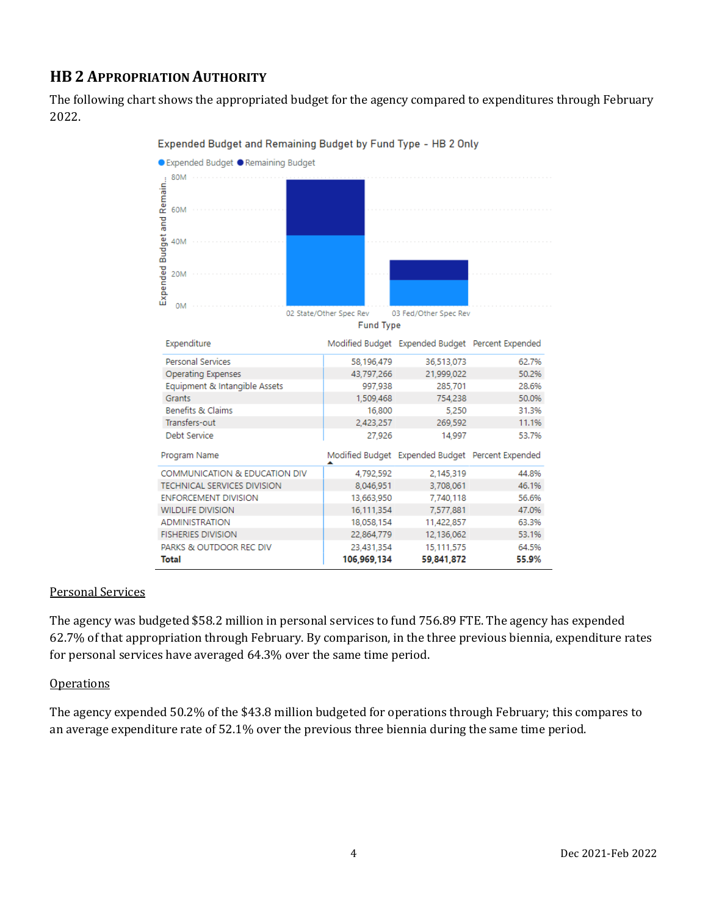## **HB 2 APPROPRIATION AUTHORITY**

The following chart shows the appropriated budget for the agency compared to expenditures through February 2022.



#### Expended Budget and Remaining Budget by Fund Type - HB 2 Only

#### Personal Services

The agency was budgeted \$58.2 million in personal services to fund 756.89 FTE. The agency has expended 62.7% of that appropriation through February. By comparison, in the three previous biennia, expenditure rates for personal services have averaged 64.3% over the same time period.

#### **Operations**

The agency expended 50.2% of the \$43.8 million budgeted for operations through February; this compares to an average expenditure rate of 52.1% over the previous three biennia during the same time period.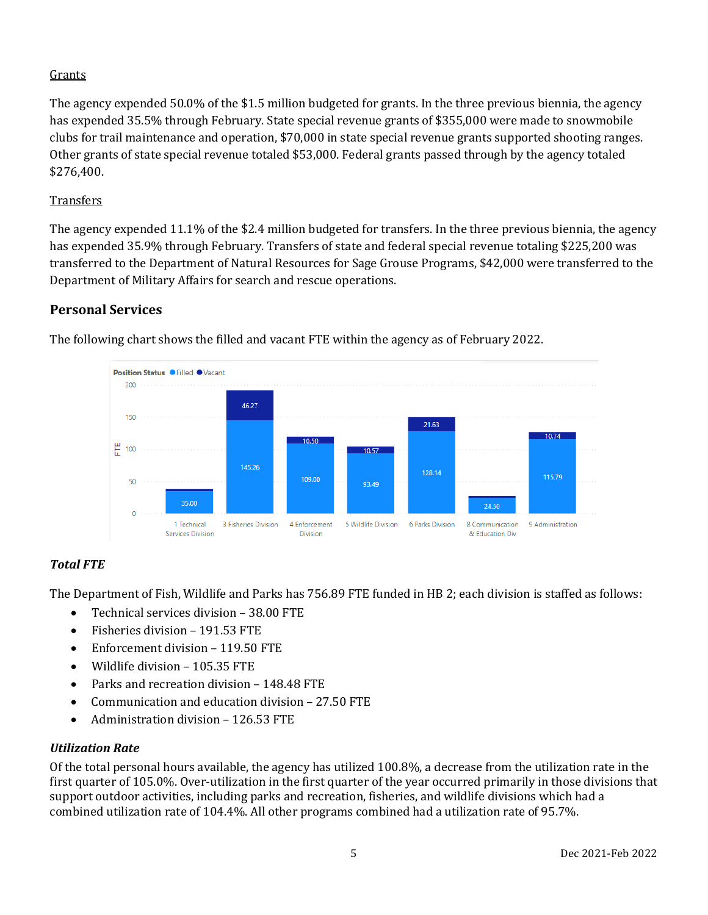## **Grants**

The agency expended 50.0% of the \$1.5 million budgeted for grants. In the three previous biennia, the agency has expended 35.5% through February. State special revenue grants of \$355,000 were made to snowmobile clubs for trail maintenance and operation, \$70,000 in state special revenue grants supported shooting ranges. Other grants of state special revenue totaled \$53,000. Federal grants passed through by the agency totaled \$276,400.

## **Transfers**

The agency expended 11.1% of the \$2.4 million budgeted for transfers. In the three previous biennia, the agency has expended 35.9% through February. Transfers of state and federal special revenue totaling \$225,200 was transferred to the Department of Natural Resources for Sage Grouse Programs, \$42,000 were transferred to the Department of Military Affairs for search and rescue operations.

## **Personal Services**



The following chart shows the filled and vacant FTE within the agency as of February 2022.

## *Total FTE*

The Department of Fish, Wildlife and Parks has 756.89 FTE funded in HB 2; each division is staffed as follows:

- Technical services division 38.00 FTE
- Fisheries division 191.53 FTE
- Enforcement division 119.50 FTE
- Wildlife division 105.35 FTE
- Parks and recreation division 148.48 FTE
- Communication and education division 27.50 FTE
- Administration division 126.53 FTE

## *Utilization Rate*

Of the total personal hours available, the agency has utilized 100.8%, a decrease from the utilization rate in the first quarter of 105.0%. Over-utilization in the first quarter of the year occurred primarily in those divisions that support outdoor activities, including parks and recreation, fisheries, and wildlife divisions which had a combined utilization rate of 104.4%. All other programs combined had a utilization rate of 95.7%.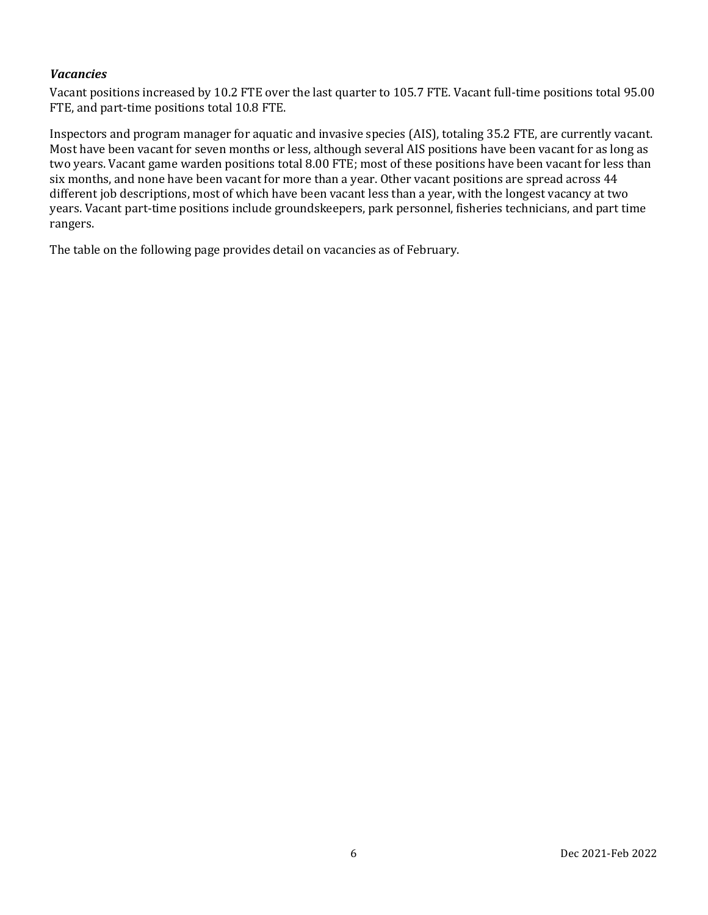#### *Vacancies*

Vacant positions increased by 10.2 FTE over the last quarter to 105.7 FTE. Vacant full-time positions total 95.00 FTE, and part-time positions total 10.8 FTE.

Inspectors and program manager for aquatic and invasive species (AIS), totaling 35.2 FTE, are currently vacant. Most have been vacant for seven months or less, although several AIS positions have been vacant for as long as two years. Vacant game warden positions total 8.00 FTE; most of these positions have been vacant for less than six months, and none have been vacant for more than a year. Other vacant positions are spread across 44 different job descriptions, most of which have been vacant less than a year, with the longest vacancy at two years. Vacant part-time positions include groundskeepers, park personnel, fisheries technicians, and part time rangers.

The table on the following page provides detail on vacancies as of February.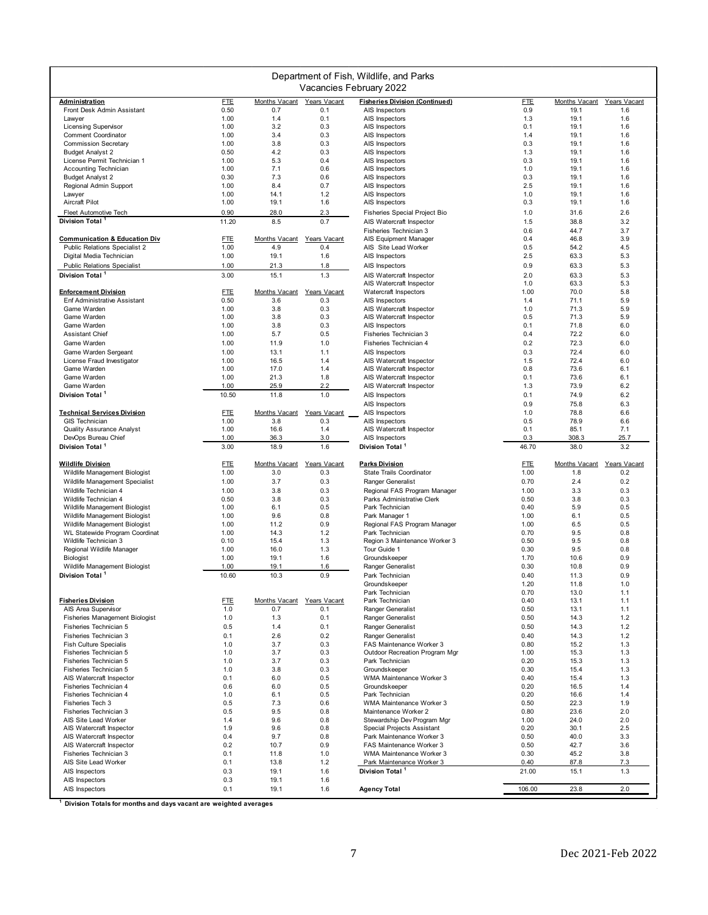| Department of Fish, Wildlife, and Parks              |                   |                      |                     |                                                            |               |               |              |
|------------------------------------------------------|-------------------|----------------------|---------------------|------------------------------------------------------------|---------------|---------------|--------------|
|                                                      |                   |                      |                     | Vacancies February 2022                                    |               |               |              |
| <b>Administration</b>                                | <b>FTE</b>        | Months Vacant        | Years Vacant        | <b>Fisheries Division (Continued)</b>                      | <b>FTE</b>    | Months Vacant | Years Vacant |
| Front Desk Admin Assistant<br>Lawyer                 | 0.50<br>1.00      | 0.7<br>1.4           | 0.1<br>0.1          | AIS Inspectors<br>AIS Inspectors                           | 0.9<br>1.3    | 19.1<br>19.1  | 1.6<br>1.6   |
| <b>Licensing Supervisor</b>                          | 1.00              | 3.2                  | 0.3                 | AIS Inspectors                                             | 0.1           | 19.1          | 1.6          |
| <b>Comment Coordinator</b>                           | 1.00              | 3.4                  | 0.3                 | AIS Inspectors                                             | 1.4           | 19.1          | 1.6          |
| <b>Commission Secretary</b>                          | 1.00              | 3.8                  | 0.3                 | AIS Inspectors                                             | 0.3           | 19.1          | 1.6          |
| <b>Budget Analyst 2</b>                              | 0.50              | 4.2                  | 0.3                 | AIS Inspectors                                             | 1.3           | 19.1          | 1.6          |
| License Permit Technician 1<br>Accounting Technician | 1.00<br>1.00      | 5.3<br>7.1           | 0.4<br>0.6          | AIS Inspectors<br>AIS Inspectors                           | 0.3<br>1.0    | 19.1<br>19.1  | 1.6<br>1.6   |
| <b>Budget Analyst 2</b>                              | 0.30              | 7.3                  | 0.6                 | AIS Inspectors                                             | 0.3           | 19.1          | 1.6          |
| Regional Admin Support                               | 1.00              | 8.4                  | 0.7                 | AIS Inspectors                                             | 2.5           | 19.1          | 1.6          |
| Lawyer                                               | 1.00              | 14.1                 | 1.2                 | AIS Inspectors                                             | 1.0           | 19.1          | 1.6          |
| Aircraft Pilot                                       | 1.00              | 19.1                 | 1.6                 | AIS Inspectors                                             | 0.3           | 19.1          | 1.6          |
| Fleet Automotive Tech<br>Division Total <sup>1</sup> | 0.90<br>11.20     | 28.0<br>8.5          | 2.3<br>0.7          | Fisheries Special Project Bio<br>AIS Watercraft Inspector  | 1.0<br>1.5    | 31.6<br>38.8  | 2.6<br>3.2   |
|                                                      |                   |                      |                     | Fisheries Technician 3                                     | 0.6           | 44.7          | 3.7          |
| <b>Communication &amp; Education Div</b>             | <b>FTE</b>        | Months Vacant        | Years Vacant        | AIS Equipment Manager                                      | 0.4           | 46.8          | 3.9          |
| Public Relations Specialist 2                        | 1.00              | 4.9                  | 0.4                 | AIS Site Lead Worker                                       | 0.5           | 54.2          | 4.5          |
| Digital Media Technician                             | 1.00              | 19.1                 | 1.6                 | AIS Inspectors                                             | 2.5           | 63.3          | 5.3          |
| <b>Public Relations Specialist</b>                   | 1.00              | 21.3                 | 1.8                 | AIS Inspectors                                             | 0.9           | 63.3          | 5.3          |
| Division Total <sup>1</sup>                          | 3.00              | 15.1                 | 1.3                 | AIS Watercraft Inspector                                   | 2.0           | 63.3          | 5.3          |
| <b>Enforcement Division</b>                          | <b>FTE</b>        | Months Vacant        | Years Vacant        | AIS Watercraft Inspector<br>Watercraft Inspectors          | 1.0<br>1.00   | 63.3<br>70.0  | 5.3<br>5.8   |
| <b>Enf Administrative Assistant</b>                  | 0.50              | 3.6                  | 0.3                 | AIS Inspectors                                             | 1.4           | 71.1          | 5.9          |
| Game Warden                                          | 1.00              | 3.8                  | 0.3                 | AIS Watercraft Inspector                                   | 1.0           | 71.3          | 5.9          |
| Game Warden                                          | 1.00              | 3.8                  | 0.3                 | AIS Watercraft Inspector                                   | 0.5           | 71.3          | 5.9          |
| Game Warden<br><b>Assistant Chief</b>                | 1.00              | 3.8                  | 0.3                 | AIS Inspectors                                             | 0.1           | 71.8          | 6.0          |
| Game Warden                                          | 1.00<br>1.00      | 5.7<br>11.9          | 0.5<br>1.0          | Fisheries Technician 3<br>Fisheries Technician 4           | 0.4<br>0.2    | 72.2<br>72.3  | 6.0<br>6.0   |
| Game Warden Sergeant                                 | 1.00              | 13.1                 | 1.1                 | AIS Inspectors                                             | 0.3           | 72.4          | 6.0          |
| License Fraud Investigator                           | 1.00              | 16.5                 | 1.4                 | AIS Watercraft Inspector                                   | 1.5           | 72.4          | 6.0          |
| Game Warden                                          | 1.00              | 17.0                 | 1.4                 | AIS Watercraft Inspector                                   | 0.8           | 73.6          | 6.1          |
| Game Warden                                          | 1.00              | 21.3                 | 1.8                 | AIS Watercraft Inspector                                   | 0.1           | 73.6          | 6.1          |
| Game Warden                                          | 1.00              | 25.9                 | 2.2                 | AIS Watercraft Inspector                                   | 1.3           | 73.9          | 6.2          |
| Division Total <sup>1</sup>                          | 10.50             | 11.8                 | 1.0                 | AIS Inspectors                                             | 0.1<br>0.9    | 74.9<br>75.8  | 6.2<br>6.3   |
| <b>Technical Services Division</b>                   | <b>FTE</b>        | Months Vacant        | Years Vacant        | AIS Inspectors<br>AIS Inspectors                           | 1.0           | 78.8          | 6.6          |
| <b>GIS Technician</b>                                | 1.00              | 3.8                  | 0.3                 | AIS Inspectors                                             | 0.5           | 78.9          | 6.6          |
| <b>Quality Assurance Analyst</b>                     | 1.00              | 16.6                 | 1.4                 | AIS Watercraft Inspector                                   | 0.1           | 85.1          | 7.1          |
| DevOps Bureau Chief                                  | 1.00              | 36.3                 | 3.0                 | AIS Inspectors                                             | 0.3           | 308.3         | 25.7         |
| Division Total <sup>1</sup>                          | 3.00              | 18.9                 | 1.6                 | Division Total                                             | 46.70         | 38.0          | 3.2          |
| <b>Wildlife Division</b>                             | <b>FTE</b>        | Months Vacant        | Years Vacant        | <b>Parks Division</b>                                      | <u>FTE</u>    | Months Vacant | Years Vacant |
| Wildlife Management Biologist                        | 1.00              | 3.0                  | 0.3                 | State Trails Coordinator                                   | 1.00          | 1.8           | 0.2          |
| Wildlife Management Specialist                       | 1.00              | 3.7                  | 0.3                 | Ranger Generalist                                          | 0.70          | 2.4           | 0.2          |
| Wildlife Technician 4<br>Wildlife Technician 4       | 1.00<br>0.50      | 3.8<br>3.8           | 0.3<br>0.3          | Regional FAS Program Manager<br>Parks Administrative Clerk | 1.00<br>0.50  | 3.3<br>3.8    | 0.3<br>0.3   |
| Wildlife Management Biologist                        | 1.00              | 6.1                  | 0.5                 | Park Technician                                            | 0.40          | 5.9           | 0.5          |
| Wildlife Management Biologist                        | 1.00              | 9.6                  | 0.8                 | Park Manager 1                                             | 1.00          | 6.1           | 0.5          |
| Wildlife Management Biologist                        | 1.00              | 11.2                 | 0.9                 | Regional FAS Program Manager                               | 1.00          | 6.5           | 0.5          |
| WL Statewide Program Coordinat                       | 1.00              | 14.3                 | 1.2                 | Park Technician                                            | 0.70          | 9.5           | 0.8          |
| Wildlife Technician 3                                | 0.10              | 15.4                 | 1.3                 | Region 3 Maintenance Worker 3                              | 0.50          | 9.5           | 0.8          |
| Regional Wildlife Manager<br><b>Biologist</b>        | 1.00<br>1.00      | 16.0<br>19.1         | 1.3<br>1.6          | Tour Guide 1<br>Groundskeeper                              | 0.30<br>1.70  | 9.5<br>10.6   | 0.8<br>0.9   |
| Wildlife Management Biologist                        | 1.00              | 19.1                 | 1.6                 | Ranger Generalist                                          | 0.30          | 10.8          | 0.9          |
| Division Total <sup>1</sup>                          | 10.60             | 10.3                 | 0.9                 | Park Technician                                            | 0.40          | 11.3          | 0.9          |
|                                                      |                   |                      |                     | Groundskeeper                                              | 1.20          | 11.8          | 1.0          |
|                                                      |                   |                      |                     | Park Technician                                            | 0.70          | 13.0          | 1.1          |
| <b>Fisheries Division</b><br>AIS Area Supervisor     | <b>FTE</b><br>1.0 | Months Vacant<br>0.7 | Years Vacant<br>0.1 | Park Technician<br>Ranger Generalist                       | 0.40<br>0.50  | 13.1<br>13.1  | 1.1<br>1.1   |
| <b>Fisheries Management Biologist</b>                | 1.0               | 1.3                  | 0.1                 | Ranger Generalist                                          | 0.50          | 14.3          | 1.2          |
| Fisheries Technician 5                               | 0.5               | 1.4                  | 0.1                 | Ranger Generalist                                          | 0.50          | 14.3          | 1.2          |
| Fisheries Technician 3                               | 0.1               | 2.6                  | 0.2                 | Ranger Generalist                                          | 0.40          | 14.3          | 1.2          |
| <b>Fish Culture Specialis</b>                        | 1.0               | 3.7                  | 0.3                 | FAS Maintenance Worker 3                                   | 0.80          | 15.2          | 1.3          |
| Fisheries Technician 5                               | 1.0               | 3.7                  | 0.3                 | Outdoor Recreation Program Mgr                             | 1.00          | 15.3          | 1.3          |
| Fisheries Technician 5<br>Fisheries Technician 5     | 1.0<br>1.0        | 3.7<br>3.8           | 0.3<br>0.3          | Park Technician<br>Groundskeeper                           | 0.20<br>0.30  | 15.3<br>15.4  | 1.3<br>1.3   |
| AIS Watercraft Inspector                             | 0.1               | 6.0                  | 0.5                 | WMA Maintenance Worker 3                                   | 0.40          | 15.4          | 1.3          |
| Fisheries Technician 4                               | 0.6               | 6.0                  | 0.5                 | Groundskeeper                                              | 0.20          | 16.5          | 1.4          |
| Fisheries Technician 4                               | 1.0               | 6.1                  | 0.5                 | Park Technician                                            | 0.20          | 16.6          | 1.4          |
| Fisheries Tech 3                                     | 0.5               | 7.3                  | 0.6                 | WMA Maintenance Worker 3                                   | 0.50          | 22.3          | 1.9          |
| Fisheries Technician 3<br>AIS Site Lead Worker       | 0.5<br>1.4        | 9.5<br>9.6           | 0.8<br>0.8          | Maintenance Worker 2<br>Stewardship Dev Program Mgr        | 0.80<br>1.00  | 23.6<br>24.0  | 2.0<br>2.0   |
| AIS Watercraft Inspector                             | 1.9               | 9.6                  | 0.8                 | Special Projects Assistant                                 | 0.20          | 30.1          | 2.5          |
| AIS Watercraft Inspector                             | 0.4               | 9.7                  | 0.8                 | Park Maintenance Worker 3                                  | 0.50          | 40.0          | 3.3          |
| AIS Watercraft Inspector                             | 0.2               | 10.7                 | 0.9                 | FAS Maintenance Worker 3                                   | 0.50          | 42.7          | 3.6          |
| Fisheries Technician 3                               | 0.1               | 11.8                 | 1.0                 | WMA Maintenance Worker 3                                   | 0.30          | 45.2          | 3.8          |
| AIS Site Lead Worker<br>AIS Inspectors               | 0.1<br>0.3        | 13.8<br>19.1         | 1.2<br>1.6          | Park Maintenance Worker 3<br>Division Total <sup>1</sup>   | 0.40<br>21.00 | 87.8<br>15.1  | 7.3<br>1.3   |
| AIS Inspectors                                       | 0.3               | 19.1                 |                     |                                                            |               |               |              |
|                                                      |                   |                      | 1.6                 |                                                            |               |               |              |

**1 Division Totals for months and days vacant are weighted averages**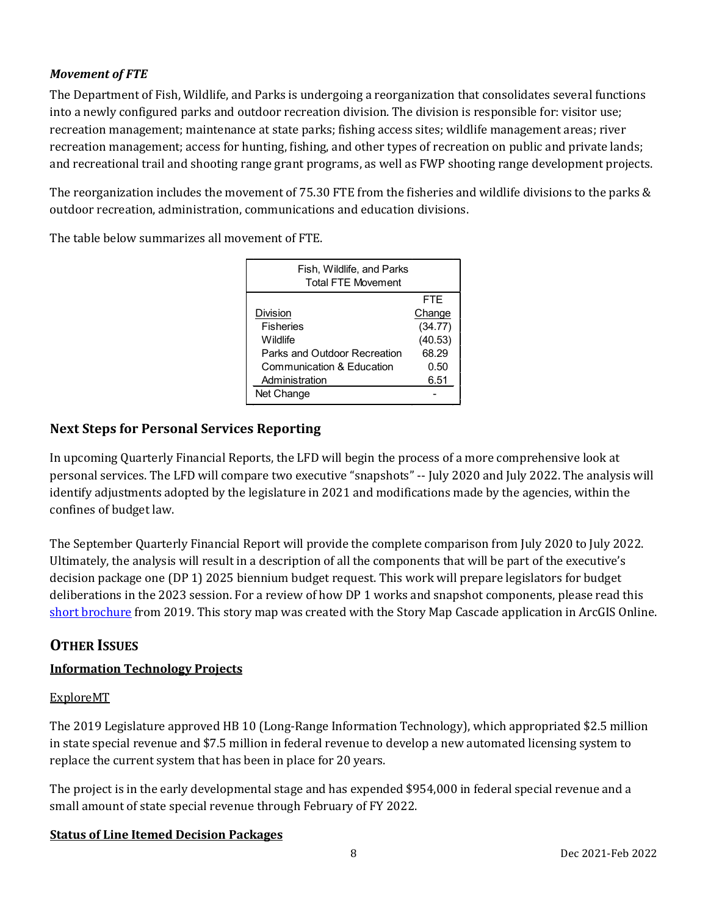#### *Movement of FTE*

The Department of Fish, Wildlife, and Parks is undergoing a reorganization that consolidates several functions into a newly configured parks and outdoor recreation division. The division is responsible for: visitor use; recreation management; maintenance at state parks; fishing access sites; wildlife management areas; river recreation management; access for hunting, fishing, and other types of recreation on public and private lands; and recreational trail and shooting range grant programs, as well as FWP shooting range development projects.

The reorganization includes the movement of 75.30 FTE from the fisheries and wildlife divisions to the parks & outdoor recreation, administration, communications and education divisions.

The table below summarizes all movement of FTE.

| Fish, Wildlife, and Parks<br><b>Total FTE Movement</b> |         |
|--------------------------------------------------------|---------|
|                                                        | FTF     |
| <b>Division</b>                                        | Change  |
| <b>Fisheries</b>                                       | (34.77) |
| Wildlife                                               | (40.53) |
| Parks and Outdoor Recreation                           | 68.29   |
| Communication & Education                              | 0.50    |
| Administration                                         | 6.51    |
| Net Change                                             |         |

## **Next Steps for Personal Services Reporting**

In upcoming Quarterly Financial Reports, the LFD will begin the process of a more comprehensive look at personal services. The LFD will compare two executive "snapshots" -- July 2020 and July 2022. The analysis will identify adjustments adopted by the legislature in 2021 and modifications made by the agencies, within the confines of budget law.

The September Quarterly Financial Report will provide the complete comparison from July 2020 to July 2022. Ultimately, the analysis will result in a description of all the components that will be part of the executive's decision package one (DP 1) 2025 biennium budget request. This work will prepare legislators for budget deliberations in the 2023 session. For a review of how DP 1 works and snapshot components, please read this [short brochure](https://montana.maps.arcgis.com/apps/Cascade/index.html?appid=23095fcf15754f4fb38b63c58a884b97) from 2019. This story map was created with the Story Map Cascade application in ArcGIS Online.

## **OTHER ISSUES**

## **Information Technology Projects**

#### ExploreMT

The 2019 Legislature approved HB 10 (Long-Range Information Technology), which appropriated \$2.5 million in state special revenue and \$7.5 million in federal revenue to develop a new automated licensing system to replace the current system that has been in place for 20 years.

The project is in the early developmental stage and has expended \$954,000 in federal special revenue and a small amount of state special revenue through February of FY 2022.

## **Status of Line Itemed Decision Packages**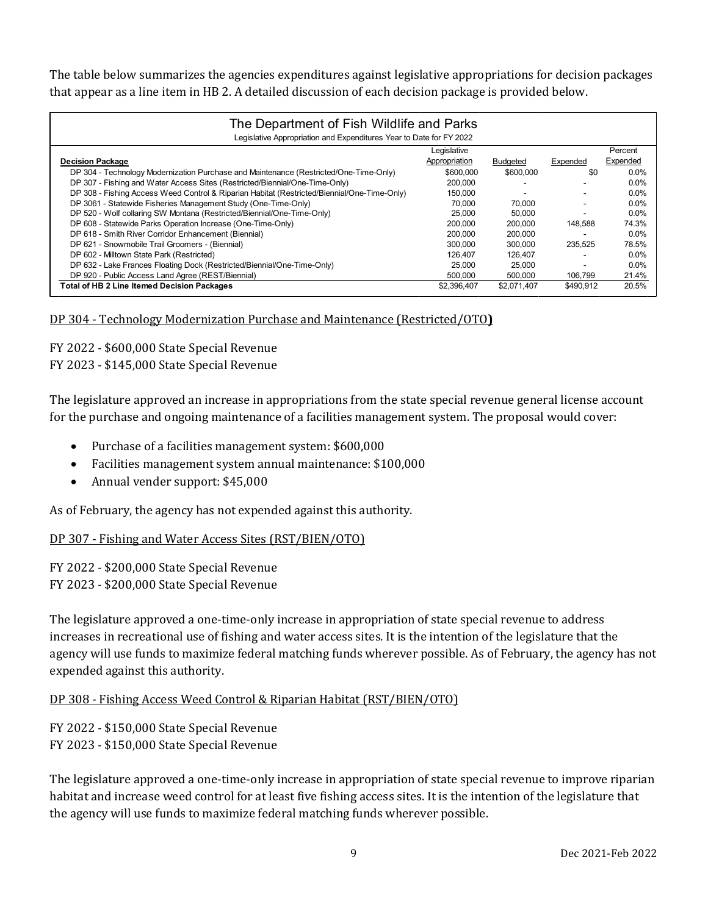The table below summarizes the agencies expenditures against legislative appropriations for decision packages that appear as a line item in HB 2. A detailed discussion of each decision package is provided below.

| The Department of Fish Wildlife and Parks                                                   |               |                 |           |          |  |  |  |  |
|---------------------------------------------------------------------------------------------|---------------|-----------------|-----------|----------|--|--|--|--|
| Legislative Appropriation and Expenditures Year to Date for FY 2022                         |               |                 |           |          |  |  |  |  |
|                                                                                             | Legislative   |                 |           | Percent  |  |  |  |  |
| <b>Decision Package</b>                                                                     | Appropriation | <b>Budgeted</b> | Expended  | Expended |  |  |  |  |
| DP 304 - Technology Modernization Purchase and Maintenance (Restricted/One-Time-Only)       | \$600,000     | \$600,000       | \$0       | 0.0%     |  |  |  |  |
| DP 307 - Fishing and Water Access Sites (Restricted/Biennial/One-Time-Only)                 | 200.000       |                 |           | 0.0%     |  |  |  |  |
| DP 308 - Fishing Access Weed Control & Riparian Habitat (Restricted/Biennial/One-Time-Only) | 150,000       |                 |           | 0.0%     |  |  |  |  |
| DP 3061 - Statewide Fisheries Management Study (One-Time-Only)                              | 70.000        | 70,000          |           | 0.0%     |  |  |  |  |
| DP 520 - Wolf collaring SW Montana (Restricted/Biennial/One-Time-Only)                      | 25.000        | 50,000          |           | $0.0\%$  |  |  |  |  |
| DP 608 - Statewide Parks Operation Increase (One-Time-Only)                                 | 200.000       | 200.000         | 148.588   | 74.3%    |  |  |  |  |
| DP 618 - Smith River Corridor Enhancement (Biennial)                                        | 200.000       | 200,000         |           | $0.0\%$  |  |  |  |  |
| DP 621 - Snowmobile Trail Groomers - (Biennial)                                             | 300,000       | 300.000         | 235.525   | 78.5%    |  |  |  |  |
| DP 602 - Milltown State Park (Restricted)                                                   | 126.407       | 126.407         |           | $0.0\%$  |  |  |  |  |
| DP 632 - Lake Frances Floating Dock (Restricted/Biennial/One-Time-Only)                     | 25,000        | 25,000          |           | $0.0\%$  |  |  |  |  |
| DP 920 - Public Access Land Agree (REST/Biennial)                                           | 500,000       | 500.000         | 106,799   | 21.4%    |  |  |  |  |
| Total of HB 2 Line Itemed Decision Packages                                                 | \$2,396,407   | \$2,071,407     | \$490.912 | 20.5%    |  |  |  |  |

#### DP 304 - Technology Modernization Purchase and Maintenance (Restricted/OTO**)**

FY 2022 - \$600,000 State Special Revenue FY 2023 - \$145,000 State Special Revenue

The legislature approved an increase in appropriations from the state special revenue general license account for the purchase and ongoing maintenance of a facilities management system. The proposal would cover:

- Purchase of a facilities management system: \$600,000
- Facilities management system annual maintenance: \$100,000
- Annual vender support: \$45,000

As of February, the agency has not expended against this authority.

#### DP 307 - Fishing and Water Access Sites (RST/BIEN/OTO)

FY 2022 - \$200,000 State Special Revenue FY 2023 - \$200,000 State Special Revenue

The legislature approved a one-time-only increase in appropriation of state special revenue to address increases in recreational use of fishing and water access sites. It is the intention of the legislature that the agency will use funds to maximize federal matching funds wherever possible. As of February, the agency has not expended against this authority.

#### DP 308 - Fishing Access Weed Control & Riparian Habitat (RST/BIEN/OTO)

FY 2022 - \$150,000 State Special Revenue FY 2023 - \$150,000 State Special Revenue

The legislature approved a one-time-only increase in appropriation of state special revenue to improve riparian habitat and increase weed control for at least five fishing access sites. It is the intention of the legislature that the agency will use funds to maximize federal matching funds wherever possible.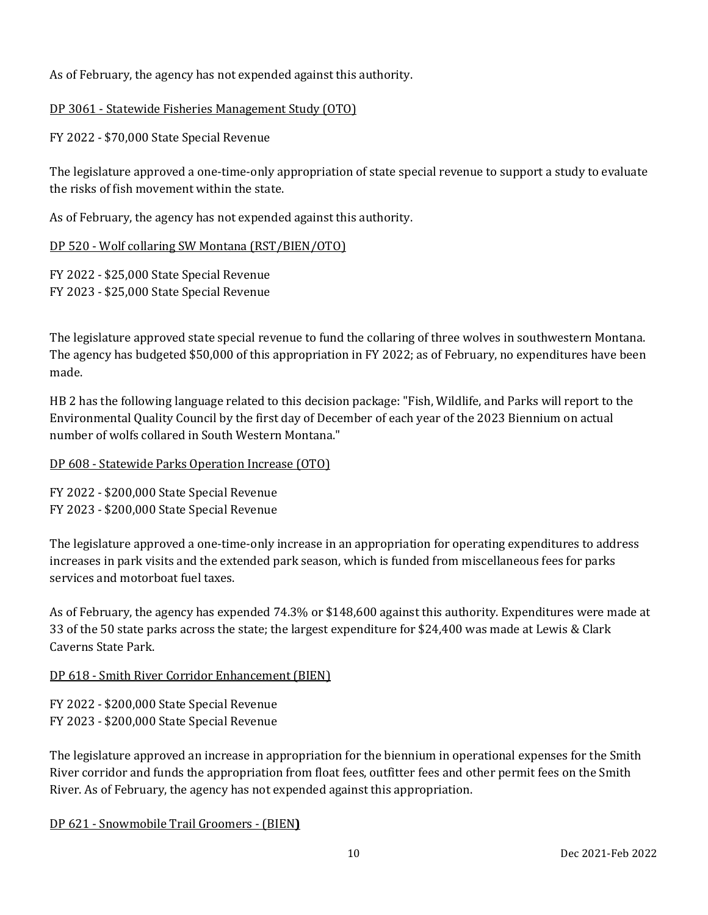As of February, the agency has not expended against this authority.

#### DP 3061 - Statewide Fisheries Management Study (OTO)

FY 2022 - \$70,000 State Special Revenue

The legislature approved a one-time-only appropriation of state special revenue to support a study to evaluate the risks of fish movement within the state.

As of February, the agency has not expended against this authority.

#### DP 520 - Wolf collaring SW Montana (RST/BIEN/OTO)

FY 2022 - \$25,000 State Special Revenue FY 2023 - \$25,000 State Special Revenue

The legislature approved state special revenue to fund the collaring of three wolves in southwestern Montana. The agency has budgeted \$50,000 of this appropriation in FY 2022; as of February, no expenditures have been made.

HB 2 has the following language related to this decision package: "Fish, Wildlife, and Parks will report to the Environmental Quality Council by the first day of December of each year of the 2023 Biennium on actual number of wolfs collared in South Western Montana."

#### DP 608 - Statewide Parks Operation Increase (OTO)

FY 2022 - \$200,000 State Special Revenue FY 2023 - \$200,000 State Special Revenue

The legislature approved a one-time-only increase in an appropriation for operating expenditures to address increases in park visits and the extended park season, which is funded from miscellaneous fees for parks services and motorboat fuel taxes.

As of February, the agency has expended 74.3% or \$148,600 against this authority. Expenditures were made at 33 of the 50 state parks across the state; the largest expenditure for \$24,400 was made at Lewis & Clark Caverns State Park.

#### DP 618 - Smith River Corridor Enhancement (BIEN)

FY 2022 - \$200,000 State Special Revenue FY 2023 - \$200,000 State Special Revenue

The legislature approved an increase in appropriation for the biennium in operational expenses for the Smith River corridor and funds the appropriation from float fees, outfitter fees and other permit fees on the Smith River. As of February, the agency has not expended against this appropriation.

DP 621 - Snowmobile Trail Groomers - (BIEN**)**